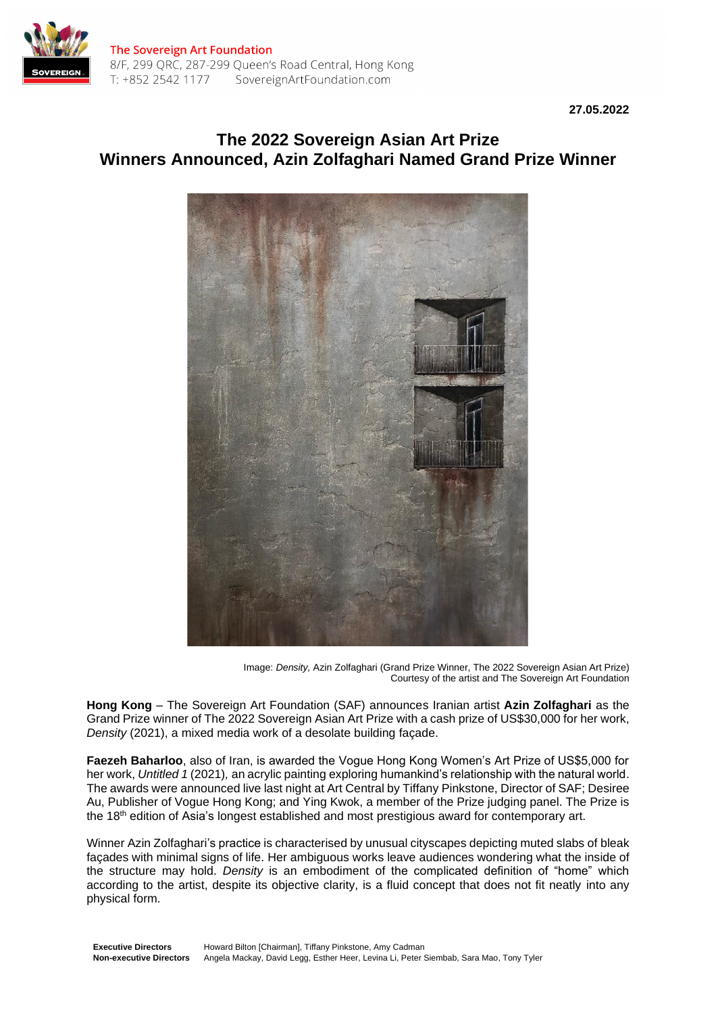

**27.05.2022**

# **The 2022 Sovereign Asian Art Prize Winners Announced, Azin Zolfaghari Named Grand Prize Winner**



Image: *Density,* Azin Zolfaghari (Grand Prize Winner, The 2022 Sovereign Asian Art Prize) Courtesy of the artist and The Sovereign Art Foundation

**Hong Kong** – The Sovereign Art Foundation (SAF) announces Iranian artist **Azin Zolfaghari** as the Grand Prize winner of The 2022 Sovereign Asian Art Prize with a cash prize of US\$30,000 for her work, *Density* (2021), a mixed media work of a desolate building façade.

**Faezeh Baharloo**, also of Iran, is awarded the Vogue Hong Kong Women's Art Prize of US\$5,000 for her work, *Untitled 1* (2021)*,* an acrylic painting exploring humankind's relationship with the natural world. The awards were announced live last night at Art Central by Tiffany Pinkstone, Director of SAF; Desiree Au, Publisher of Vogue Hong Kong; and Ying Kwok, a member of the Prize judging panel. The Prize is the 18<sup>th</sup> edition of Asia's longest established and most prestigious award for contemporary art.

Winner Azin Zolfaghari's practice is characterised by unusual cityscapes depicting muted slabs of bleak façades with minimal signs of life. Her ambiguous works leave audiences wondering what the inside of the structure may hold. *Density* is an embodiment of the complicated definition of "home" which according to the artist, despite its objective clarity, is a fluid concept that does not fit neatly into any physical form.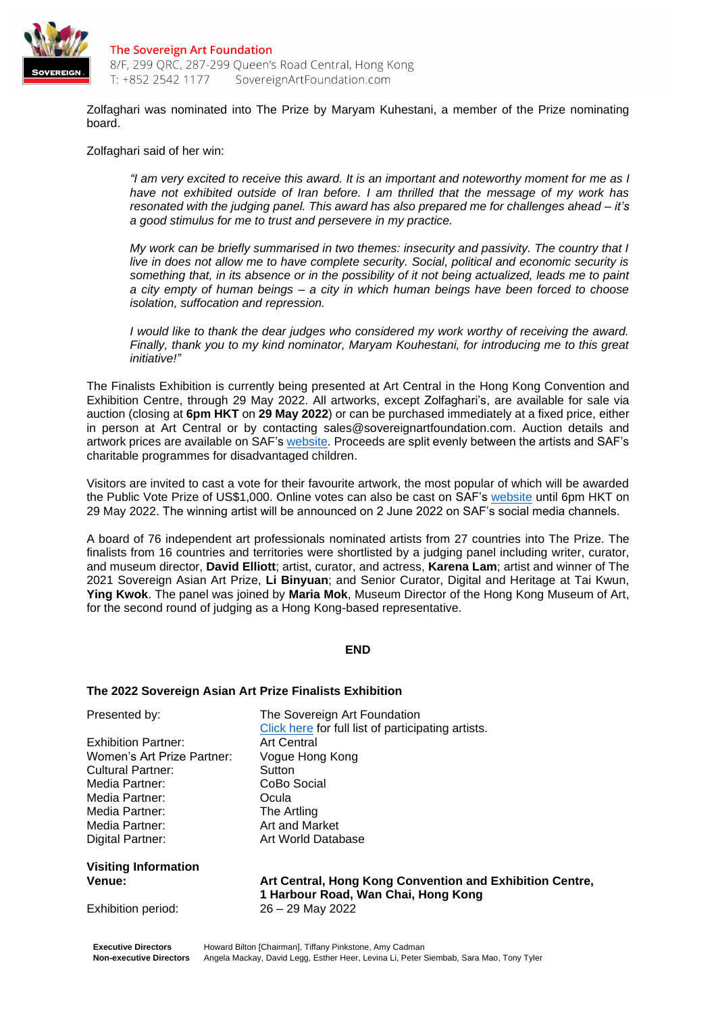

Zolfaghari was nominated into The Prize by Maryam Kuhestani, a member of the Prize nominating board.

Zolfaghari said of her win:

*"I am very excited to receive this award. It is an important and noteworthy moment for me as I have not exhibited outside of Iran before. I am thrilled that the message of my work has resonated with the judging panel. This award has also prepared me for challenges ahead – it's a good stimulus for me to trust and persevere in my practice.*

*My work can be briefly summarised in two themes: insecurity and passivity. The country that I live in does not allow me to have complete security. Social, political and economic security is something that, in its absence or in the possibility of it not being actualized, leads me to paint a city empty of human beings – a city in which human beings have been forced to choose isolation, suffocation and repression.*

*I would like to thank the dear judges who considered my work worthy of receiving the award. Finally, thank you to my kind nominator, Maryam Kouhestani, for introducing me to this great initiative!"*

The Finalists Exhibition is currently being presented at Art Central in the Hong Kong Convention and Exhibition Centre, through 29 May 2022. All artworks, except Zolfaghari's, are available for sale via auction (closing at **6pm HKT** on **29 May 2022**) or can be purchased immediately at a fixed price, either in person at Art Central or by contacting sales@sovereignartfoundation.com. Auction details and artwork prices are available on SAF's [website.](https://www.sovereignartfoundation.com/art-prizes/2022-edition/) Proceeds are split evenly between the artists and SAF's charitable programmes for disadvantaged children.

Visitors are invited to cast a vote for their favourite artwork, the most popular of which will be awarded the Public Vote Prize of US\$1,000. Online votes can also be cast on SAF's [website](https://www.sovereignartfoundation.com/art-prizes/2022-edition/) until 6pm HKT on 29 May 2022. The winning artist will be announced on 2 June 2022 on SAF's social media channels.

A board of 76 independent art professionals nominated artists from 27 countries into The Prize. The finalists from 16 countries and territories were shortlisted by a judging panel including writer, curator, and museum director, **David Elliott**; artist, curator, and actress, **Karena Lam**; artist and winner of The 2021 Sovereign Asian Art Prize, **Li Binyuan**; and Senior Curator, Digital and Heritage at Tai Kwun, **Ying Kwok**. The panel was joined by **Maria Mok**, Museum Director of the Hong Kong Museum of Art, for the second round of judging as a Hong Kong-based representative.

#### **END**

#### **The 2022 Sovereign Asian Art Prize Finalists Exhibition**

Exhibition Partner: Art Central Women's Art Prize Partner: Vogue Hong Kong Cultural Partner: Sutton Media Partner: CoBo Social Media Partner: Ocula Media Partner: The Artling<br>
Media Partner: The Art and Market Media Partner: Digital Partner: Art World Database

**Visiting Information** 

Presented by: The Sovereign Art Foundation [Click here](https://www.sovereignartfoundation.com/art-prizes/2022-edition/) for full list of participating artists.

**Venue: Art Central, Hong Kong Convention and Exhibition Centre, 1 Harbour Road, Wan Chai, Hong Kong** Exhibition period: 26 – 29 May 2022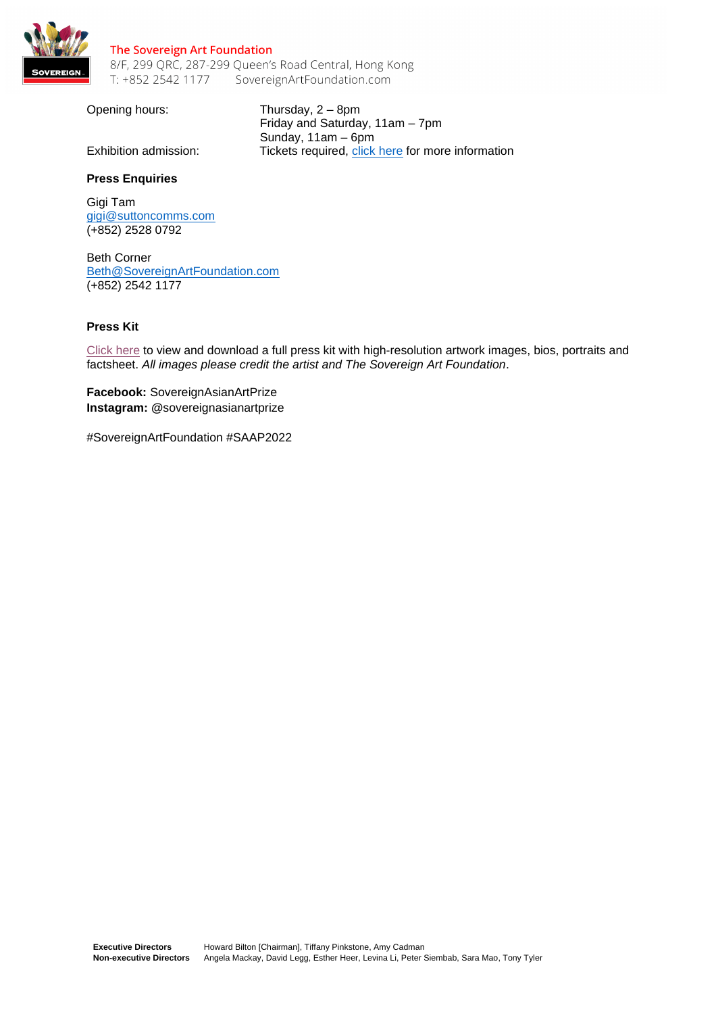

#### The Sovereign Art Foundation 8/F, 299 QRC, 287-299 Queen's Road Central, Hong Kong SovereignArtFoundation.com T: +852 2542 1177

Opening hours: Thursday, 2 – 8pm Friday and Saturday, 11am – 7pm Sunday, 11am – 6pm Exhibition admission: Tickets required, [click here](https://artcentralhongkong.com/visit/) for more information

### **Press Enquiries**

Gigi Tam [gigi@suttoncomms.com](mailto:gigi@suttoncomms.com) (+852) 2528 0792

Beth Corner [Beth@SovereignArtFoundation.com](mailto:Beth@SovereignArtFoundation.com) (+852) 2542 1177

### **Press Kit**

[Click here](https://egnyte.suttoncomms.com/fl/VTmATU4d2W?web=1&wdLOR=c3A7E87F9-0D74-4BB8-ABEC-A3A08379195A) to view and download a full press kit with high-resolution artwork images, bios, portraits and factsheet. *All images please credit the artist and The Sovereign Art Foundation*.

**Facebook:** SovereignAsianArtPrize **Instagram: @**sovereignasianartprize

#SovereignArtFoundation #SAAP2022